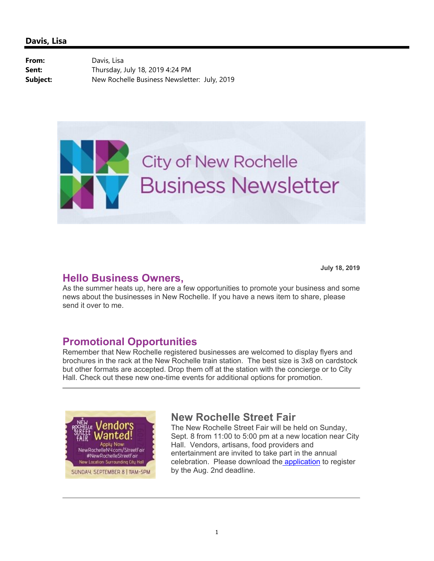From: Davis, Lisa **Sent:** Thursday, July 18, 2019 4:24 PM **Subject:** New Rochelle Business Newsletter: July, 2019



### **Hello Business Owners,**

**July 18, 2019**

As the summer heats up, here are a few opportunities to promote your business and some news about the businesses in New Rochelle. If you have a news item to share, please send it over to me.

# **Promotional Opportunities**

Remember that New Rochelle registered businesses are welcomed to display flyers and brochures in the rack at the New Rochelle train station. The best size is 3x8 on cardstock but other formats are accepted. Drop them off at the station with the concierge or to City Hall. Check out these new one-time events for additional options for promotion.



# **New Rochelle Street Fair**

The New Rochelle Street Fair will be held on Sunday, Sept. 8 from 11:00 to 5:00 pm at a new location near City Hall. Vendors, artisans, food providers and entertainment are invited to take part in the annual celebration. Please download the application to register by the Aug. 2nd deadline.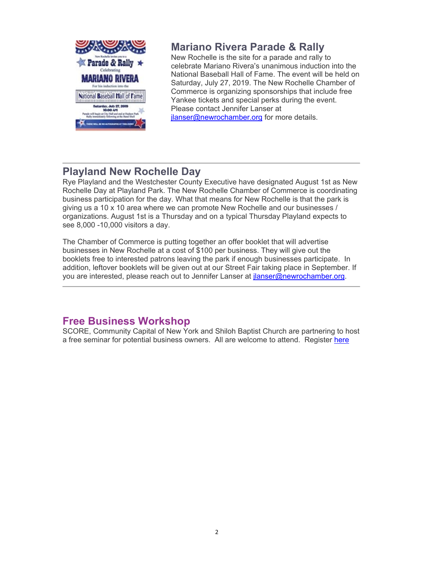

## **Mariano Rivera Parade & Rally**

New Rochelle is the site for a parade and rally to celebrate Mariano Rivera's unanimous induction into the National Baseball Hall of Fame. The event will be held on Saturday, July 27, 2019. The New Rochelle Chamber of Commerce is organizing sponsorships that include free Yankee tickets and special perks during the event. Please contact Jennifer Lanser at jlanser@newrochamber.org for more details.

# **Playland New Rochelle Day**

Rye Playland and the Westchester County Executive have designated August 1st as New Rochelle Day at Playland Park. The New Rochelle Chamber of Commerce is coordinating business participation for the day. What that means for New Rochelle is that the park is giving us a 10 x 10 area where we can promote New Rochelle and our businesses / organizations. August 1st is a Thursday and on a typical Thursday Playland expects to see 8,000 -10,000 visitors a day.

The Chamber of Commerce is putting together an offer booklet that will advertise businesses in New Rochelle at a cost of \$100 per business. They will give out the booklets free to interested patrons leaving the park if enough businesses participate. In addition, leftover booklets will be given out at our Street Fair taking place in September. If you are interested, please reach out to Jennifer Lanser at jlanser@newrochamber.org.

# **Free Business Workshop**

SCORE, Community Capital of New York and Shiloh Baptist Church are partnering to host a free seminar for potential business owners. All are welcome to attend. Register here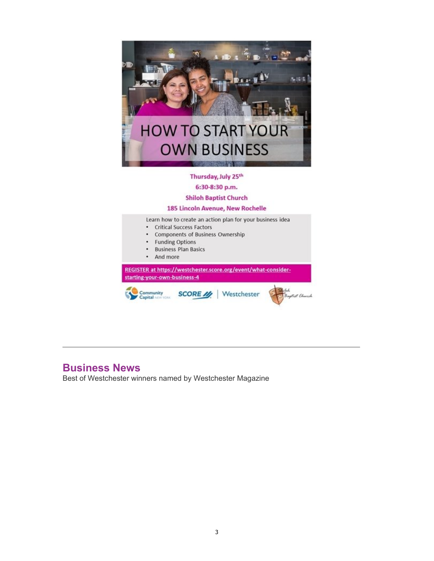

#### Thursday, July 25th

6:30-8:30 p.m.

### **Shiloh Baptist Church**

#### 185 Lincoln Avenue, New Rochelle

Learn how to create an action plan for your business idea

- Critical Success Factors
- Components of Business Ownership
- **Funding Options**
- **Business Plan Basics**
- And more

REGISTER at https://westchester.score.org/event/what-considerstarting-your-own-business-4



## **Business News**

Best of Westchester winners named by Westchester Magazine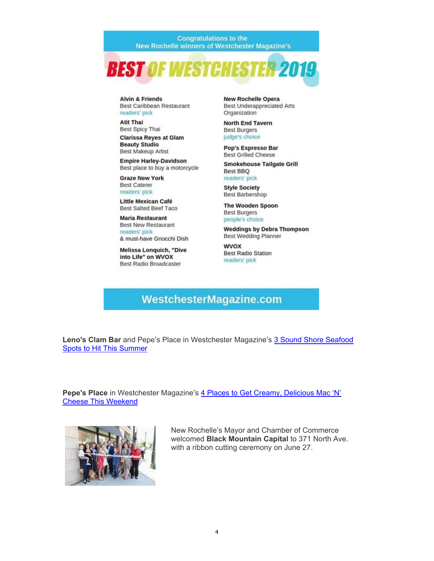**Congratulations to the New Rochelle winners of Westchester Magazine's** 



**Alvin & Friends** Best Caribbean Restaurant readers' pick

**Atit Thai** Best Spicy Thai **Clarissa Reyes at Glam Beauty Studio** 

**Best Makeup Artist** 

**Empire Harley-Davidson** Best place to buy a motorcycle

**Graze New York Best Caterer** readers' pick

**Little Mexican Café** Best Salted Beef Taco

**Maria Restaurant Best New Restaurant** readers' pick

& must-have Gnocchi Dish

**Melissa Lonquich, "Dive** into Life" on WVOX **Best Radio Broadcaster** 

**New Rochelle Opera Best Underappreciated Arts** Organization

**North End Tavern Best Burgers** judge's choice

Pop's Espresso Bar **Best Grilled Cheese** 

**Smokehouse Tailgate Grill Best BBQ** readers' pick

**Style Society Best Barbershop** 

The Wooden Spoon **Best Burgers** people's choice

**Weddings by Debra Thompson Best Wedding Planner** 

**WVOX Best Radio Station** readers' pick

### **WestchesterMagazine.com**

Leno's Clam Bar and Pepe's Place in Westchester Magazine's 3 Sound Shore Seafood **Spots to Hit This Summer** 

Pepe's Place in Westchester Magazine's 4 Places to Get Creamy, Delicious Mac 'N' **Cheese This Weekend** 



New Rochelle's Mayor and Chamber of Commerce welcomed Black Mountain Capital to 371 North Ave. with a ribbon cutting ceremony on June 27.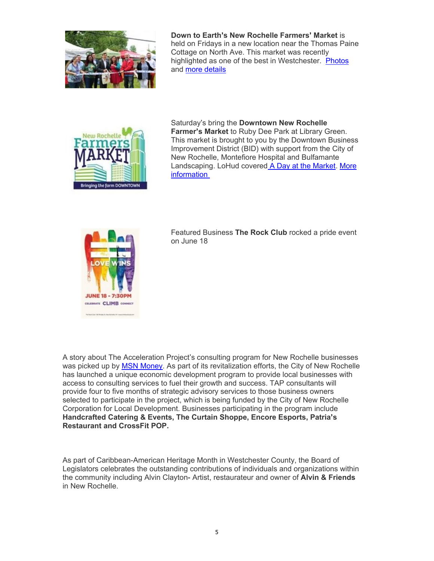

**Down to Earth's New Rochelle Farmers' Market** is held on Fridays in a new location near the Thomas Paine Cottage on North Ave. This market was recently highlighted as one of the best in Westchester. Photos and more details



Saturday's bring the **Downtown New Rochelle Farmer's Market** to Ruby Dee Park at Library Green. This market is brought to you by the Downtown Business Improvement District (BID) with support from the City of New Rochelle, Montefiore Hospital and Bulfamante Landscaping. LoHud covered A Day at the Market. More information



Featured Business **The Rock Club** rocked a pride event on June 18

A story about The Acceleration Project's consulting program for New Rochelle businesses was picked up by MSN Money. As part of its revitalization efforts, the City of New Rochelle has launched a unique economic development program to provide local businesses with access to consulting services to fuel their growth and success. TAP consultants will provide four to five months of strategic advisory services to those business owners selected to participate in the project, which is being funded by the City of New Rochelle Corporation for Local Development. Businesses participating in the program include **Handcrafted Catering & Events, The Curtain Shoppe, Encore Esports, Patria's Restaurant and CrossFit POP.**

As part of Caribbean-American Heritage Month in Westchester County, the Board of Legislators celebrates the outstanding contributions of individuals and organizations within the community including Alvin Clayton- Artist, restaurateur and owner of **Alvin & Friends**  in New Rochelle.